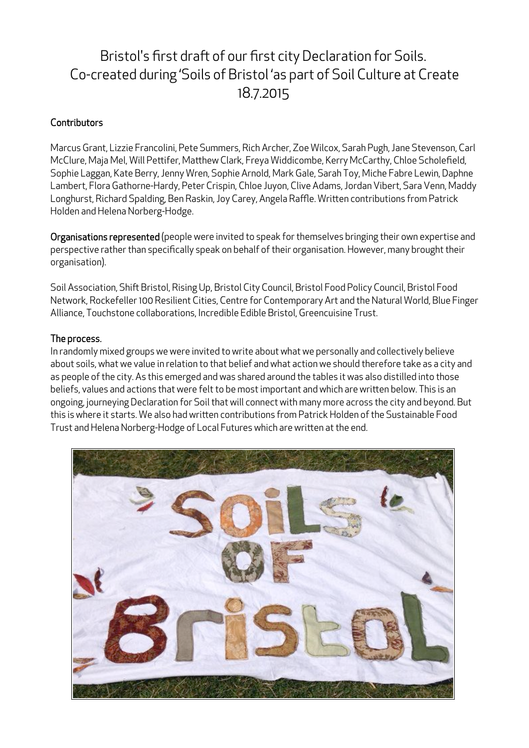# Bristol's first draft of our first city Declaration for Soils. Co-created during 'Soils of Bristol 'as part of Soil Culture at Create 18.7.2015

# **Contributors**

Marcus Grant, Lizzie Francolini, Pete Summers, Rich Archer, Zoe Wilcox, Sarah Pugh, Jane Stevenson, Carl McClure, Maja Mel, Will Pettifer, Matthew Clark, Freya Widdicombe, Kerry McCarthy, Chloe Scholefield, Sophie Laggan, Kate Berry, Jenny Wren, Sophie Arnold, Mark Gale, Sarah Toy, Miche Fabre Lewin, Daphne Lambert, Flora Gathorne-Hardy, Peter Crispin, Chloe Juyon, Clive Adams, Jordan Vibert, Sara Venn, Maddy Longhurst, Richard Spalding, Ben Raskin, Joy Carey, Angela Raffle. Written contributions from Patrick Holden and Helena Norberg-Hodge.

Organisations represented (people were invited to speak for themselves bringing their own expertise and perspective rather than specifically speak on behalf of their organisation. However, many brought their organisation).

Soil Association, Shift Bristol, Rising Up, Bristol City Council, Bristol Food Policy Council, Bristol Food Network, Rockefeller 100 Resilient Cities, Centre for Contemporary Art and the Natural World, Blue Finger Alliance, Touchstone collaborations, Incredible Edible Bristol, Greencuisine Trust.

# The process.

In randomly mixed groups we were invited to write about what we personally and collectively believe about soils, what we value in relation to that belief and what action we should therefore take as a city and as people of the city. As this emerged and was shared around the tables it was also distilled into those beliefs, values and actions that were felt to be most important and which are written below. This is an ongoing, journeying Declaration for Soil that will connect with many more across the city and beyond. But this is where it starts. We also had written contributions from Patrick Holden of the Sustainable Food Trust and Helena Norberg-Hodge of Local Futures which are written at the end.

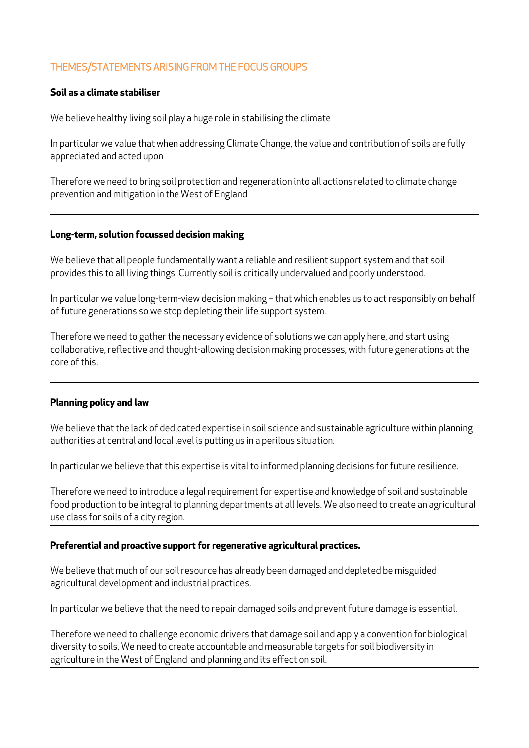# THEMES/STATEMENTS ARISING FROM THE FOCUS GROUPS

#### **Soil as a climate stabiliser**

We believe healthy living soil play a huge role in stabilising the climate

In particular we value that when addressing Climate Change, the value and contribution of soils are fully appreciated and acted upon

Therefore we need to bring soil protection and regeneration into all actions related to climate change prevention and mitigation in the West of England

#### **Long-term, solution focussed decision making**

We believe that all people fundamentally want a reliable and resilient support system and that soil provides this to all living things. Currently soil is critically undervalued and poorly understood.

In particular we value long-term-view decision making – that which enables us to act responsibly on behalf of future generations so we stop depleting their life support system.

Therefore we need to gather the necessary evidence of solutions we can apply here, and start using collaborative, reflective and thought-allowing decision making processes, with future generations at the core of this.

#### **Planning policy and law**

We believe that the lack of dedicated expertise in soil science and sustainable agriculture within planning authorities at central and local level is putting us in a perilous situation.

In particular we believe that this expertise is vital to informed planning decisions for future resilience.

Therefore we need to introduce a legal requirement for expertise and knowledge of soil and sustainable food production to be integral to planning departments at all levels. We also need to create an agricultural use class for soils of a city region.

#### **Preferential and proactive support for regenerative agricultural practices.**

We believe that much of our soil resource has already been damaged and depleted be misguided agricultural development and industrial practices.

In particular we believe that the need to repair damaged soils and prevent future damage is essential.

Therefore we need to challenge economic drivers that damage soil and apply a convention for biological diversity to soils. We need to create accountable and measurable targets for soil biodiversity in agriculture in the West of England and planning and its effect on soil.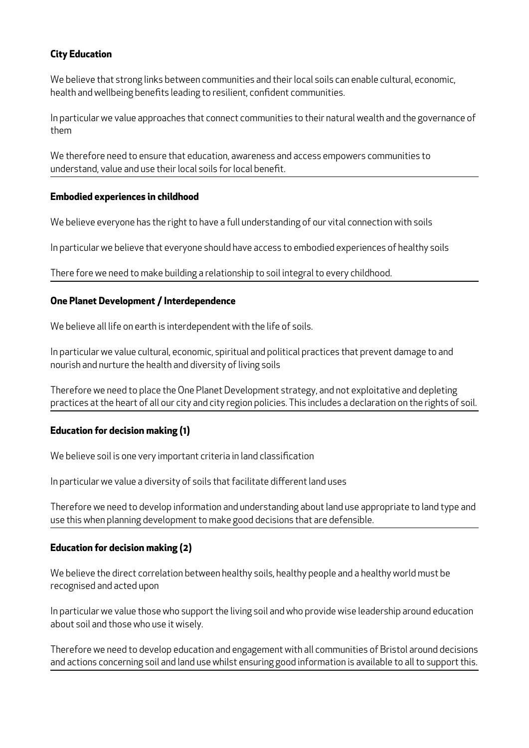## **City Education**

We believe that strong links between communities and their local soils can enable cultural, economic, health and wellbeing benefits leading to resilient, confident communities.

In particular we value approaches that connect communities to their natural wealth and the governance of them

We therefore need to ensure that education, awareness and access empowers communities to understand, value and use their local soils for local benefit.

## **Embodied experiences in childhood**

We believe everyone has the right to have a full understanding of our vital connection with soils

In particular we believe that everyone should have access to embodied experiences of healthy soils

There fore we need to make building a relationship to soil integral to every childhood.

#### **One Planet Development / Interdependence**

We believe all life on earth is interdependent with the life of soils.

In particular we value cultural, economic, spiritual and political practices that prevent damage to and nourish and nurture the health and diversity of living soils

Therefore we need to place the One Planet Development strategy, and not exploitative and depleting practices at the heart of all our city and city region policies. This includes a declaration on the rights of soil.

## **Education for decision making (1)**

We believe soil is one very important criteria in land classification

In particular we value a diversity of soils that facilitate different land uses

Therefore we need to develop information and understanding about land use appropriate to land type and use this when planning development to make good decisions that are defensible.

#### **Education for decision making (2)**

We believe the direct correlation between healthy soils, healthy people and a healthy world must be recognised and acted upon

In particular we value those who support the living soil and who provide wise leadership around education about soil and those who use it wisely.

Therefore we need to develop education and engagement with all communities of Bristol around decisions and actions concerning soil and land use whilst ensuring good information is available to all to support this.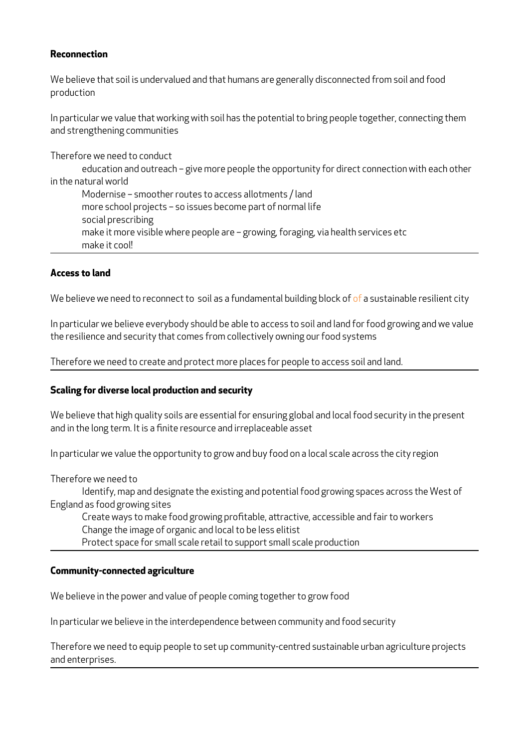#### **Reconnection**

We believe that soil is undervalued and that humans are generally disconnected from soil and food production

In particular we value that working with soil has the potential to bring people together, connecting them and strengthening communities

Therefore we need to conduct

education and outreach – give more people the opportunity for direct connection with each other in the natural world

Modernise – smoother routes to access allotments / land more school projects – so issues become part of normal life social prescribing make it more visible where people are – growing, foraging, via health services etc make it cool!

#### **Access to land**

We believe we need to reconnect to soil as a fundamental building block of of a sustainable resilient city

In particular we believe everybody should be able to access to soil and land for food growing and we value the resilience and security that comes from collectively owning our food systems

Therefore we need to create and protect more places for people to access soil and land.

#### **Scaling for diverse local production and security**

We believe that high quality soils are essential for ensuring global and local food security in the present and in the long term. It is a finite resource and irreplaceable asset

In particular we value the opportunity to grow and buy food on a local scale across the city region

Therefore we need to

Identify, map and designate the existing and potential food growing spaces across the West of England as food growing sites

Create ways to make food growing profitable, attractive, accessible and fair to workers Change the image of organic and local to be less elitist

Protect space for small scale retail to support small scale production

#### **Community-connected agriculture**

We believe in the power and value of people coming together to grow food

In particular we believe in the interdependence between community and food security

Therefore we need to equip people to set up community-centred sustainable urban agriculture projects and enterprises.